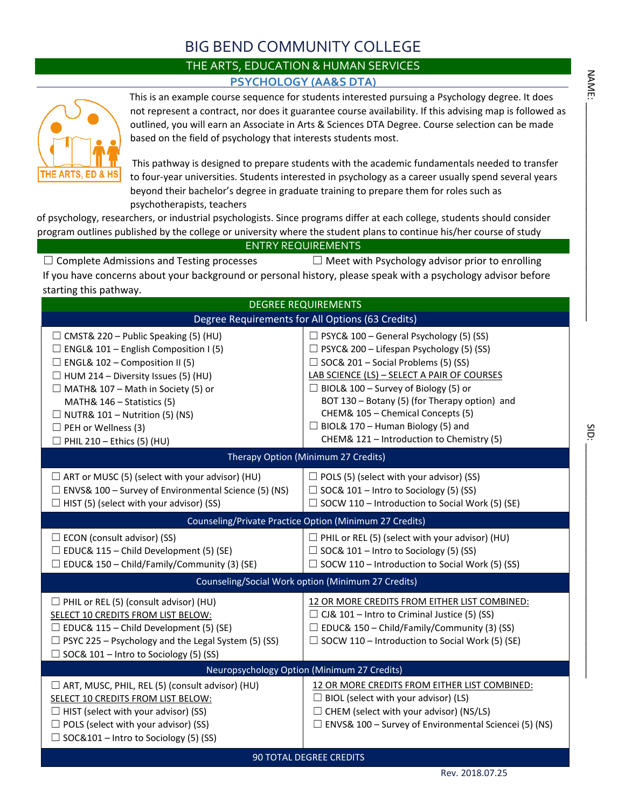## BIG BEND COMMUNITY COLLEGE

## THE ARTS, EDUCATION & HUMAN SERVICES **PSYCHOLOGY (AA&S DTA)**



This is an example course sequence for students interested pursuing a Psychology degree. It does not represent a contract, nor does it guarantee course availability. If this advising map is followed as outlined, you will earn an Associate in Arts & Sciences DTA Degree. Course selection can be made based on the field of psychology that interests students most.

This pathway is designed to prepare students with the academic fundamentals needed to transfer to four-year universities. Students interested in psychology as a career usually spend several years beyond their bachelor's degree in graduate training to prepare them for roles such as psychotherapists, teachers

of psychology, researchers, or industrial psychologists. Since programs differ at each college, students should consider program outlines published by the college or university where the student plans to continue his/her course of study

ENTRY REQUIREMENTS

☐ Complete Admissions and Testing processes ☐ Meet with Psychology advisor prior to enrolling If you have concerns about your background or personal history, please speak with a psychology advisor before starting this pathway.

| <b>DEGREE REQUIREMENTS</b>                                                                                                                                                                                                                                                                                                                                                |                                                                                                                                                                                                                                                                                                                                                                                                                              |  |  |  |  |
|---------------------------------------------------------------------------------------------------------------------------------------------------------------------------------------------------------------------------------------------------------------------------------------------------------------------------------------------------------------------------|------------------------------------------------------------------------------------------------------------------------------------------------------------------------------------------------------------------------------------------------------------------------------------------------------------------------------------------------------------------------------------------------------------------------------|--|--|--|--|
| Degree Requirements for All Options (63 Credits)                                                                                                                                                                                                                                                                                                                          |                                                                                                                                                                                                                                                                                                                                                                                                                              |  |  |  |  |
| $\Box$ CMST& 220 – Public Speaking (5) (HU)<br>$\Box$ ENGL& 101 – English Composition I (5)<br>$\Box$ ENGL& 102 – Composition II (5)<br>$\Box$ HUM 214 – Diversity Issues (5) (HU)<br>$\Box$ MATH& 107 – Math in Society (5) or<br>MATH& 146 - Statistics (5)<br>$\Box$ NUTR& 101 – Nutrition (5) (NS)<br>$\Box$ PEH or Wellness (3)<br>$\Box$ PHIL 210 - Ethics (5) (HU) | $\Box$ PSYC& 100 – General Psychology (5) (SS)<br>$\Box$ PSYC& 200 – Lifespan Psychology (5) (SS)<br>$\Box$ SOC& 201 – Social Problems (5) (SS)<br>LAB SCIENCE (LS) - SELECT A PAIR OF COURSES<br>$\Box$ BIOL& 100 – Survey of Biology (5) or<br>BOT 130 - Botany (5) (for Therapy option) and<br>CHEM& 105 - Chemical Concepts (5)<br>$\Box$ BIOL& 170 - Human Biology (5) and<br>CHEM& 121 - Introduction to Chemistry (5) |  |  |  |  |
| Therapy Option (Minimum 27 Credits)                                                                                                                                                                                                                                                                                                                                       |                                                                                                                                                                                                                                                                                                                                                                                                                              |  |  |  |  |
| $\Box$ ART or MUSC (5) (select with your advisor) (HU)<br>$\Box$ ENVS& 100 – Survey of Environmental Science (5) (NS)<br>$\Box$ HIST (5) (select with your advisor) (SS)                                                                                                                                                                                                  | $\Box$ POLS (5) (select with your advisor) (SS)<br>$\Box$ SOC& 101 – Intro to Sociology (5) (SS)<br>$\Box$ SOCW 110 – Introduction to Social Work (5) (SE)                                                                                                                                                                                                                                                                   |  |  |  |  |
|                                                                                                                                                                                                                                                                                                                                                                           | Counseling/Private Practice Option (Minimum 27 Credits)                                                                                                                                                                                                                                                                                                                                                                      |  |  |  |  |
| $\Box$ ECON (consult advisor) (SS)<br>$\Box$ EDUC& 115 – Child Development (5) (SE)<br>$\Box$ EDUC& 150 – Child/Family/Community (3) (SE)                                                                                                                                                                                                                                 | $\Box$ PHIL or REL (5) (select with your advisor) (HU)<br>$\Box$ SOC& 101 – Intro to Sociology (5) (SS)<br>$\Box$ SOCW 110 – Introduction to Social Work (5) (SS)                                                                                                                                                                                                                                                            |  |  |  |  |
|                                                                                                                                                                                                                                                                                                                                                                           | Counseling/Social Work option (Minimum 27 Credits)                                                                                                                                                                                                                                                                                                                                                                           |  |  |  |  |
| $\Box$ PHIL or REL (5) (consult advisor) (HU)<br>SELECT 10 CREDITS FROM LIST BELOW:<br>$\Box$ EDUC& 115 – Child Development (5) (SE)<br>$\Box$ PSYC 225 – Psychology and the Legal System (5) (SS)<br>$\Box$ SOC& 101 – Intro to Sociology (5) (SS)                                                                                                                       | 12 OR MORE CREDITS FROM EITHER LIST COMBINED:<br>$\Box$ CJ& 101 – Intro to Criminal Justice (5) (SS)<br>$\Box$ EDUC& 150 – Child/Family/Community (3) (SS)<br>$\Box$ SOCW 110 – Introduction to Social Work (5) (SE)                                                                                                                                                                                                         |  |  |  |  |
|                                                                                                                                                                                                                                                                                                                                                                           | Neuropsychology Option (Minimum 27 Credits)                                                                                                                                                                                                                                                                                                                                                                                  |  |  |  |  |
| $\Box$ ART, MUSC, PHIL, REL (5) (consult advisor) (HU)<br>SELECT 10 CREDITS FROM LIST BELOW:<br>$\Box$ HIST (select with your advisor) (SS)<br>$\Box$ POLS (select with your advisor) (SS)<br>$\Box$ SOC&101 – Intro to Sociology (5) (SS)                                                                                                                                | 12 OR MORE CREDITS FROM EITHER LIST COMBINED:<br>$\Box$ BIOL (select with your advisor) (LS)<br>$\Box$ CHEM (select with your advisor) (NS/LS)<br>$\Box$ ENVS& 100 – Survey of Environmental Sciencei (5) (NS)                                                                                                                                                                                                               |  |  |  |  |
| <b>90 TOTAL DEGREE CREDITS</b>                                                                                                                                                                                                                                                                                                                                            |                                                                                                                                                                                                                                                                                                                                                                                                                              |  |  |  |  |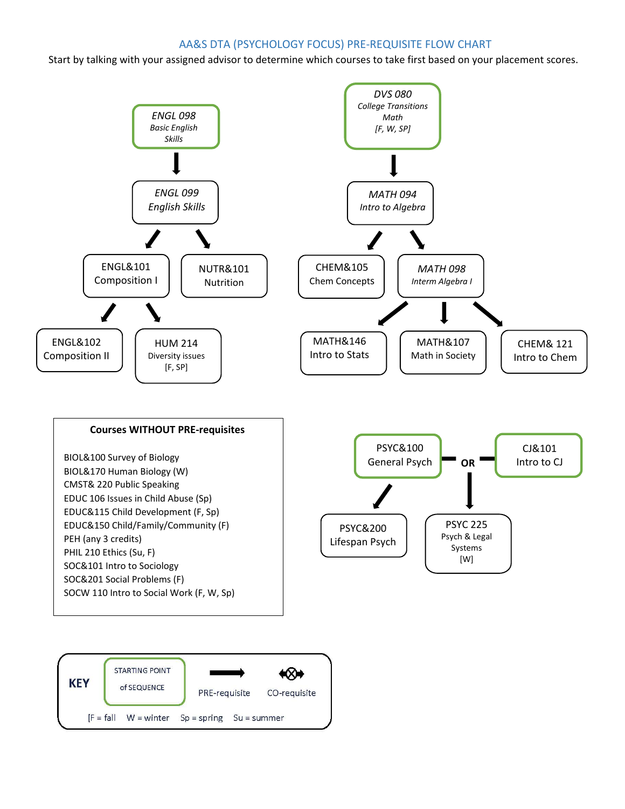## AA&S DTA (PSYCHOLOGY FOCUS) PRE-REQUISITE FLOW CHART

Start by talking with your assigned advisor to determine which courses to take first based on your placement scores.



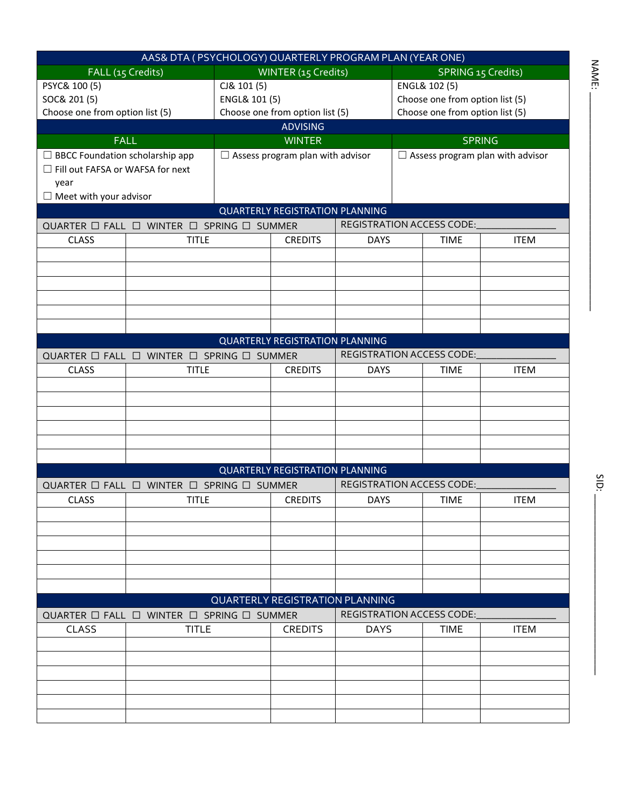| AAS& DTA (PSYCHOLOGY) QUARTERLY PROGRAM PLAN (YEAR ONE) |                                                               |                                 |                                         |                                 |                                         |                                  |             |
|---------------------------------------------------------|---------------------------------------------------------------|---------------------------------|-----------------------------------------|---------------------------------|-----------------------------------------|----------------------------------|-------------|
|                                                         | FALL (15 Credits)<br>WINTER (15 Credits)                      |                                 | SPRING 15 Credits)                      |                                 |                                         |                                  |             |
| PSYC& 100 (5)                                           |                                                               | CJ& 101 (5)                     |                                         |                                 | ENGL& 102 (5)                           |                                  |             |
| SOC& 201 (5)                                            |                                                               | ENGL& 101 (5)                   |                                         | Choose one from option list (5) |                                         |                                  |             |
| Choose one from option list (5)                         |                                                               | Choose one from option list (5) |                                         | Choose one from option list (5) |                                         |                                  |             |
|                                                         |                                                               |                                 | <b>ADVISING</b>                         |                                 |                                         |                                  |             |
|                                                         | <b>FALL</b>                                                   |                                 | <b>WINTER</b>                           |                                 | <b>SPRING</b>                           |                                  |             |
| $\Box$ BBCC Foundation scholarship app                  |                                                               |                                 | $\Box$ Assess program plan with advisor |                                 | $\Box$ Assess program plan with advisor |                                  |             |
| □ Fill out FAFSA or WAFSA for next                      |                                                               |                                 |                                         |                                 |                                         |                                  |             |
| year                                                    |                                                               |                                 |                                         |                                 |                                         |                                  |             |
| $\Box$ Meet with your advisor                           |                                                               |                                 |                                         |                                 |                                         |                                  |             |
| <b>QUARTERLY REGISTRATION PLANNING</b>                  |                                                               |                                 |                                         |                                 |                                         |                                  |             |
|                                                         | QUARTER $\Box$ FALL $\Box$ WINTER $\Box$ SPRING $\Box$ SUMMER |                                 |                                         |                                 |                                         | <b>REGISTRATION ACCESS CODE:</b> |             |
| <b>CLASS</b>                                            | <b>TITLE</b>                                                  |                                 | <b>CREDITS</b>                          | <b>DAYS</b>                     |                                         | <b>TIME</b>                      | <b>ITEM</b> |
|                                                         |                                                               |                                 |                                         |                                 |                                         |                                  |             |
|                                                         |                                                               |                                 |                                         |                                 |                                         |                                  |             |
|                                                         |                                                               |                                 |                                         |                                 |                                         |                                  |             |
|                                                         |                                                               |                                 |                                         |                                 |                                         |                                  |             |
|                                                         |                                                               |                                 |                                         |                                 |                                         |                                  |             |
|                                                         |                                                               |                                 |                                         |                                 |                                         |                                  |             |
|                                                         |                                                               |                                 | <b>QUARTERLY REGISTRATION PLANNING</b>  |                                 |                                         |                                  |             |
|                                                         | QUARTER $\Box$ FALL $\Box$ WINTER $\Box$ SPRING $\Box$ SUMMER |                                 |                                         |                                 |                                         | <b>REGISTRATION ACCESS CODE:</b> |             |
| <b>CLASS</b>                                            | <b>TITLE</b>                                                  |                                 | <b>CREDITS</b>                          | <b>DAYS</b>                     |                                         | <b>TIME</b>                      | <b>ITEM</b> |
|                                                         |                                                               |                                 |                                         |                                 |                                         |                                  |             |
|                                                         |                                                               |                                 |                                         |                                 |                                         |                                  |             |
|                                                         |                                                               |                                 |                                         |                                 |                                         |                                  |             |
|                                                         |                                                               |                                 |                                         |                                 |                                         |                                  |             |
|                                                         |                                                               |                                 |                                         |                                 |                                         |                                  |             |
|                                                         |                                                               |                                 |                                         |                                 |                                         |                                  |             |
|                                                         |                                                               |                                 | <b>QUARTERLY REGISTRATION PLANNING</b>  |                                 |                                         |                                  |             |
|                                                         | QUARTER $\Box$ FALL $\Box$ WINTER $\Box$ SPRING $\Box$ SUMMER |                                 |                                         |                                 |                                         | <b>REGISTRATION ACCESS CODE:</b> |             |
| <b>CLASS</b>                                            | <b>TITLE</b>                                                  |                                 | <b>CREDITS</b>                          | <b>DAYS</b>                     |                                         | <b>TIME</b>                      | <b>ITEM</b> |
|                                                         |                                                               |                                 |                                         |                                 |                                         |                                  |             |
|                                                         |                                                               |                                 |                                         |                                 |                                         |                                  |             |
|                                                         |                                                               |                                 |                                         |                                 |                                         |                                  |             |
|                                                         |                                                               |                                 |                                         |                                 |                                         |                                  |             |
|                                                         |                                                               |                                 |                                         |                                 |                                         |                                  |             |
|                                                         |                                                               |                                 |                                         |                                 |                                         |                                  |             |
|                                                         |                                                               |                                 | <b>QUARTERLY REGISTRATION PLANNING</b>  |                                 |                                         |                                  |             |
|                                                         | QUARTER □ FALL □ WINTER □ SPRING □ SUMMER                     |                                 |                                         |                                 |                                         | <b>REGISTRATION ACCESS CODE:</b> |             |
| <b>CLASS</b>                                            | <b>TITLE</b>                                                  |                                 | <b>CREDITS</b>                          | <b>DAYS</b>                     |                                         | <b>TIME</b>                      | <b>ITEM</b> |
|                                                         |                                                               |                                 |                                         |                                 |                                         |                                  |             |
|                                                         |                                                               |                                 |                                         |                                 |                                         |                                  |             |
|                                                         |                                                               |                                 |                                         |                                 |                                         |                                  |             |
|                                                         |                                                               |                                 |                                         |                                 |                                         |                                  |             |
|                                                         |                                                               |                                 |                                         |                                 |                                         |                                  |             |
|                                                         |                                                               |                                 |                                         |                                 |                                         |                                  |             |
|                                                         |                                                               |                                 |                                         |                                 |                                         |                                  |             |

 $N_{\rm A}$  is a subset of  $\sim$ 

NAME:

SID:  $\Box$ 

SID: